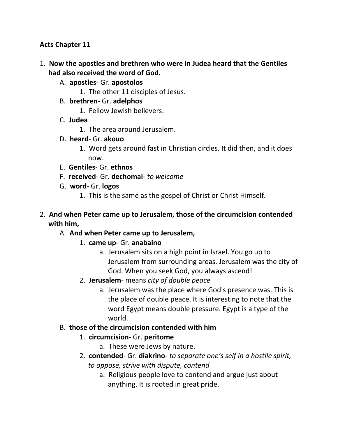#### **Acts Chapter 11**

- 1. **Now the apostles and brethren who were in Judea heard that the Gentiles had also received the word of God.** 
	- A. **apostles** Gr. **apostolos**
		- 1. The other 11 disciples of Jesus.
	- B. **brethren** Gr. **adelphos**
		- 1. Fellow Jewish believers.
	- C. **Judea**
		- 1. The area around Jerusalem.
	- D. **heard** Gr. **akouo**
		- 1. Word gets around fast in Christian circles. It did then, and it does now.
	- E. **Gentiles** Gr. **ethnos**
	- F. **received** Gr. **dechomai** *to welcome*
	- G. **word** Gr. **logos**
		- 1. This is the same as the gospel of Christ or Christ Himself.
- 2. **And when Peter came up to Jerusalem, those of the circumcision contended with him,** 
	- A. **And when Peter came up to Jerusalem,**
		- 1. **came up** Gr. **anabaino**
			- a. Jerusalem sits on a high point in Israel. You go up to Jerusalem from surrounding areas. Jerusalem was the city of God. When you seek God, you always ascend!
		- 2. **Jerusalem** means *city of double peace*
			- a. Jerusalem was the place where God's presence was. This is the place of double peace. It is interesting to note that the word Egypt means double pressure. Egypt is a type of the world.
	- B. **those of the circumcision contended with him**
		- 1. **circumcision** Gr. **peritome**
			- a. These were Jews by nature.
		- 2. **contended** Gr. **diakrino** *to separate one's self in a hostile spirit, to oppose, strive with dispute, contend*
			- a. Religious people love to contend and argue just about anything. It is rooted in great pride.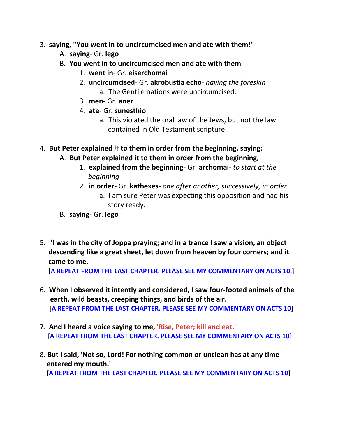- 3. **saying, "You went in to uncircumcised men and ate with them!"** 
	- A. **saying** Gr. **lego**
	- B. **You went in to uncircumcised men and ate with them**
		- 1. **went in** Gr. **eiserchomai**
		- 2. **uncircumcised** Gr. **akrobustia echo** *having the foreskin* a. The Gentile nations were uncircumcised.
		- 3. **men** Gr. **aner**
		- 4. **ate** Gr. **sunesthio**
			- a. This violated the oral law of the Jews, but not the law contained in Old Testament scripture.

4. **But Peter explained** *it* **to them in order from the beginning, saying:** 

- A. **But Peter explained it to them in order from the beginning,**
	- 1. **explained from the beginning** Gr. **archomai** *to start at the beginning*
	- 2. **in order** Gr. **kathexes** *one after another, successively, in order* a. I am sure Peter was expecting this opposition and had his story ready.
- B. **saying** Gr. **lego**
- 5. **"I was in the city of Joppa praying; and in a trance I saw a vision, an object descending like a great sheet, let down from heaven by four corners; and it came to me.**

[**A REPEAT FROM THE LAST CHAPTER. PLEASE SEE MY COMMENTARY ON ACTS 10**.]

- 6. **When I observed it intently and considered, I saw four-footed animals of the earth, wild beasts, creeping things, and birds of the air.** [**A REPEAT FROM THE LAST CHAPTER. PLEASE SEE MY COMMENTARY ON ACTS 10**]
- 7. **And I heard a voice saying to me, 'Rise, Peter; kill and eat.'** [**A REPEAT FROM THE LAST CHAPTER. PLEASE SEE MY COMMENTARY ON ACTS 10**]
- 8. **But I said, 'Not so, Lord! For nothing common or unclean has at any time entered my mouth.'** [**A REPEAT FROM THE LAST CHAPTER. PLEASE SEE MY COMMENTARY ON ACTS 10**]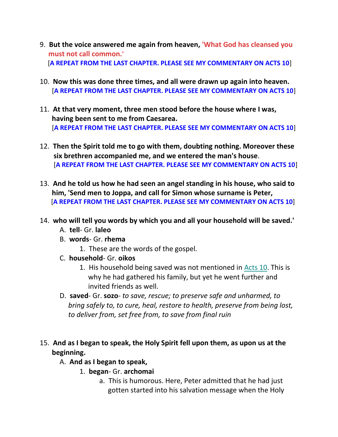- 9. **But the voice answered me again from heaven, 'What God has cleansed you must not call common.'** [**A REPEAT FROM THE LAST CHAPTER. PLEASE SEE MY COMMENTARY ON ACTS 10**]
- 10. **Now this was done three times, and all were drawn up again into heaven.** [**A REPEAT FROM THE LAST CHAPTER. PLEASE SEE MY COMMENTARY ON ACTS 10**]
- 11. **At that very moment, three men stood before the house where I was, having been sent to me from Caesarea.** [**A REPEAT FROM THE LAST CHAPTER. PLEASE SEE MY COMMENTARY ON ACTS 10**]
- 12. **Then the Spirit told me to go with them, doubting nothing. Moreover these six brethren accompanied me, and we entered the man's house**. [**A REPEAT FROM THE LAST CHAPTER. PLEASE SEE MY COMMENTARY ON ACTS 10**]
- 13. **And he told us how he had seen an angel standing in his house, who said to him, 'Send men to Joppa, and call for Simon whose surname is Peter,** [**A REPEAT FROM THE LAST CHAPTER. PLEASE SEE MY COMMENTARY ON ACTS 10**]
- 14. **who will tell you words by which you and all your household will be saved.'** 
	- A. **tell** Gr. **laleo**
	- B. **words** Gr. **rhema**
		- 1. These are the words of the gospel.
	- C. **household** Gr. **oikos**
		- 1. His household being saved was not mentioned in Acts 10. This is why he had gathered his family, but yet he went further and invited friends as well.
	- D. **saved** Gr. **sozo** *to save, rescue; to preserve safe and unharmed, to bring safely to, to cure, heal, restore to health, preserve from being lost, to deliver from, set free from, to save from final ruin*
- 15. **And as I began to speak, the Holy Spirit fell upon them, as upon us at the beginning.** 
	- A. **And as I began to speak,**
		- 1. **began** Gr. **archomai**
			- a. This is humorous. Here, Peter admitted that he had just gotten started into his salvation message when the Holy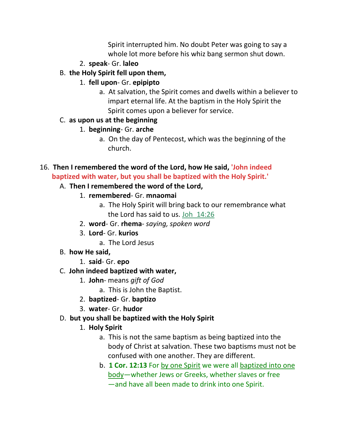Spirit interrupted him. No doubt Peter was going to say a whole lot more before his whiz bang sermon shut down.

- 2. **speak** Gr. **laleo**
- B. **the Holy Spirit fell upon them,**
	- 1. **fell upon** Gr. **epipipto**
		- a. At salvation, the Spirit comes and dwells within a believer to impart eternal life. At the baptism in the Holy Spirit the Spirit comes upon a believer for service.

## C. **as upon us at the beginning**

- 1. **beginning** Gr. **arche**
	- a. On the day of Pentecost, which was the beginning of the church.

## 16. **Then I remembered the word of the Lord, how He said, 'John indeed baptized with water, but you shall be baptized with the Holy Spirit.'**

# A. **Then I remembered the word of the Lord,**

- 1. **remembered** Gr. **mnaomai**
	- a. The Holy Spirit will bring back to our remembrance what the Lord has said to us. Joh\_14:26
- 2. **word** Gr. **rhema** *saying, spoken word*
- 3. **Lord** Gr. **kurios**
	- a. The Lord Jesus
- B. **how He said,**
	- 1. **said** Gr. **epo**

# C. **John indeed baptized with water,**

- 1. **John** means *gift of God*
	- a. This is John the Baptist.
- 2. **baptized** Gr. **baptizo**
- 3. **water** Gr. **hudor**

# D. **but you shall be baptized with the Holy Spirit**

- 1. **Holy Spirit**
	- a. This is not the same baptism as being baptized into the body of Christ at salvation. These two baptisms must not be confused with one another. They are different.
	- b. **1 Cor. 12:13** For by one Spirit we were all baptized into one body—whether Jews or Greeks, whether slaves or free —and have all been made to drink into one Spirit.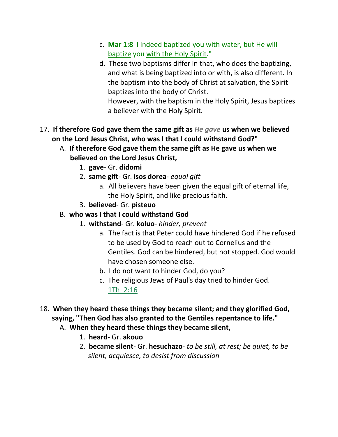- c. **Mar 1:8** I indeed baptized you with water, but He will baptize you with the Holy Spirit."
- d. These two baptisms differ in that, who does the baptizing, and what is being baptized into or with, is also different. In the baptism into the body of Christ at salvation, the Spirit baptizes into the body of Christ.

 However, with the baptism in the Holy Spirit, Jesus baptizes a believer with the Holy Spirit.

- 17. **If therefore God gave them the same gift as** *He gave* **us when we believed on the Lord Jesus Christ, who was I that I could withstand God?"** 
	- A. **If therefore God gave them the same gift as He gave us when we believed on the Lord Jesus Christ,**
		- 1. **gave** Gr. **didomi**
		- 2. **same gift** Gr. **isos dorea** *equal gift*
			- a. All believers have been given the equal gift of eternal life, the Holy Spirit, and like precious faith.
		- 3. **believed** Gr. **pisteuo**
	- B. **who was I that I could withstand God**
		- 1. **withstand** Gr. **koluo** *hinder, prevent*
			- a. The fact is that Peter could have hindered God if he refused to be used by God to reach out to Cornelius and the Gentiles. God can be hindered, but not stopped. God would have chosen someone else.
			- b. I do not want to hinder God, do you?
			- c. The religious Jews of Paul's day tried to hinder God. 1Th\_2:16
- 18. **When they heard these things they became silent; and they glorified God, saying, "Then God has also granted to the Gentiles repentance to life."** 
	- A. **When they heard these things they became silent,**
		- 1. **heard** Gr. **akouo**
		- 2. **became silent** Gr. **hesuchazo** *to be still, at rest; be quiet, to be silent, acquiesce, to desist from discussion*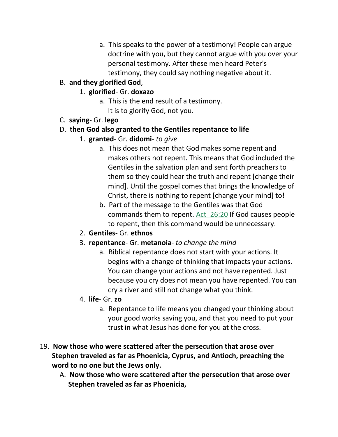a. This speaks to the power of a testimony! People can argue doctrine with you, but they cannot argue with you over your personal testimony. After these men heard Peter's testimony, they could say nothing negative about it.

## B. **and they glorified God**,

- 1. **glorified** Gr. **doxazo**
	- a. This is the end result of a testimony. It is to glorify God, not you.
- C. **saying** Gr. **lego**

#### D. **then God also granted to the Gentiles repentance to life**

- 1. **granted** Gr. **didomi** *to give*
	- a. This does not mean that God makes some repent and makes others not repent. This means that God included the Gentiles in the salvation plan and sent forth preachers to them so they could hear the truth and repent [change their mind]. Until the gospel comes that brings the knowledge of Christ, there is nothing to repent [change your mind] to!
	- b. Part of the message to the Gentiles was that God commands them to repent. Act 26:20 If God causes people to repent, then this command would be unnecessary.
- 2. **Gentiles** Gr. **ethnos**
- 3. **repentance** Gr. **metanoia** *to change the mind*
	- a. Biblical repentance does not start with your actions. It begins with a change of thinking that impacts your actions. You can change your actions and not have repented. Just because you cry does not mean you have repented. You can cry a river and still not change what you think.
- 4. **life** Gr. **zo**
	- a. Repentance to life means you changed your thinking about your good works saving you, and that you need to put your trust in what Jesus has done for you at the cross.
- 19. **Now those who were scattered after the persecution that arose over Stephen traveled as far as Phoenicia, Cyprus, and Antioch, preaching the word to no one but the Jews only.** 
	- A. **Now those who were scattered after the persecution that arose over Stephen traveled as far as Phoenicia,**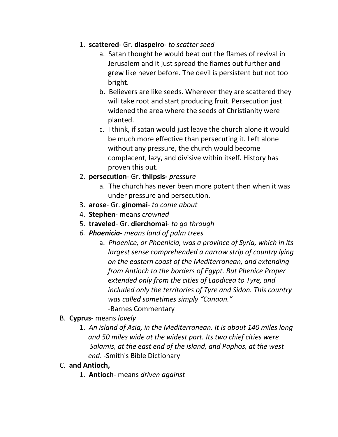### 1. **scattered**- Gr. **diaspeiro**- *to scatter seed*

- a. Satan thought he would beat out the flames of revival in Jerusalem and it just spread the flames out further and grew like never before. The devil is persistent but not too bright.
- b. Believers are like seeds. Wherever they are scattered they will take root and start producing fruit. Persecution just widened the area where the seeds of Christianity were planted.
- c. I think, if satan would just leave the church alone it would be much more effective than persecuting it. Left alone without any pressure, the church would become complacent, lazy, and divisive within itself. History has proven this out.
- 2. **persecution** Gr. **thlipsis-** *pressure*
	- a. The church has never been more potent then when it was under pressure and persecution.
- 3. **arose** Gr. **ginomai** *to come about*
- 4. **Stephen** means *crowned*
- 5. **traveled** Gr. **dierchomai** *to go through*
- *6. Phoenicia- means land of palm trees*
	- a. *Phoenice, or Phoenicia, was a province of Syria, which in its largest sense comprehended a narrow strip of country lying on the eastern coast of the Mediterranean, and extending from Antioch to the borders of Egypt. But Phenice Proper extended only from the cities of Laodicea to Tyre, and included only the territories of Tyre and Sidon. This country was called sometimes simply "Canaan."* -Barnes Commentary

#### B. **Cyprus**- means *lovely*

- 1. *An island of Asia, in the Mediterranean. It is about 140 miles long and 50 miles wide at the widest part. Its two chief cities were Salamis, at the east end of the island, and Paphos, at the west end*. -Smith's Bible Dictionary
- C. **and Antioch,**
	- 1. **Antioch** means *driven against*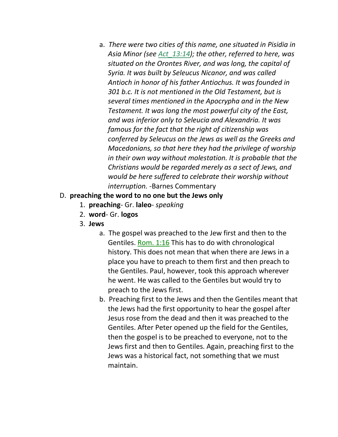a. *There were two cities of this name, one situated in Pisidia in Asia Minor (see Act\_13:14); the other, referred to here, was situated on the Orontes River, and was long, the capital of Syria. It was built by Seleucus Nicanor, and was called Antioch in honor of his father Antiochus. It was founded in 301 b.c. It is not mentioned in the Old Testament, but is several times mentioned in the Apocrypha and in the New Testament. It was long the most powerful city of the East, and was inferior only to Seleucia and Alexandria. It was famous for the fact that the right of citizenship was conferred by Seleucus on the Jews as well as the Greeks and Macedonians, so that here they had the privilege of worship in their own way without molestation. It is probable that the Christians would be regarded merely as a sect of Jews, and would be here suffered to celebrate their worship without interruption.* -Barnes Commentary

#### D. **preaching the word to no one but the Jews only**

- 1. **preaching** Gr. **laleo** *speaking*
- 2. **word** Gr. **logos**
- 3. **Jews**
	- a. The gospel was preached to the Jew first and then to the Gentiles. Rom. 1:16 This has to do with chronological history. This does not mean that when there are Jews in a place you have to preach to them first and then preach to the Gentiles. Paul, however, took this approach wherever he went. He was called to the Gentiles but would try to preach to the Jews first.
	- b. Preaching first to the Jews and then the Gentiles meant that the Jews had the first opportunity to hear the gospel after Jesus rose from the dead and then it was preached to the Gentiles. After Peter opened up the field for the Gentiles, then the gospel is to be preached to everyone, not to the Jews first and then to Gentiles. Again, preaching first to the Jews was a historical fact, not something that we must maintain.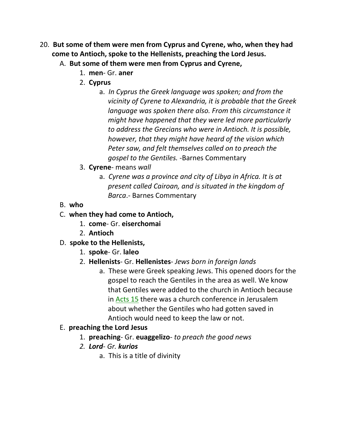- 20. **But some of them were men from Cyprus and Cyrene, who, when they had come to Antioch, spoke to the Hellenists, preaching the Lord Jesus.** 
	- A. **But some of them were men from Cyprus and Cyrene,**
		- 1. **men** Gr. **aner**
		- 2. **Cyprus**
			- a. *In Cyprus the Greek language was spoken; and from the vicinity of Cyrene to Alexandria, it is probable that the Greek language was spoken there also. From this circumstance it might have happened that they were led more particularly to address the Grecians who were in Antioch. It is possible, however, that they might have heard of the vision which Peter saw, and felt themselves called on to preach the gospel to the Gentiles.* -Barnes Commentary
		- 3. **Cyrene** means *wall*
			- a. *Cyrene was a province and city of Libya in Africa. It is at present called Cairoan, and is situated in the kingdom of Barca*.- Barnes Commentary
	- B. **who**
	- C. **when they had come to Antioch,**
		- 1. **come** Gr. **eiserchomai**
		- 2. **Antioch**
	- D. **spoke to the Hellenists,**
		- 1. **spoke** Gr. **laleo**
		- 2. **Hellenists** Gr. **Hellenistes** *Jews born in foreign lands*
			- a. These were Greek speaking Jews. This opened doors for the gospel to reach the Gentiles in the area as well. We know that Gentiles were added to the church in Antioch because in Acts 15 there was a church conference in Jerusalem about whether the Gentiles who had gotten saved in Antioch would need to keep the law or not.

# E. **preaching the Lord Jesus**

- 1. **preaching** Gr. **euaggelizo** *to preach the good news*
- *2. Lord- Gr. kurios*
	- a. This is a title of divinity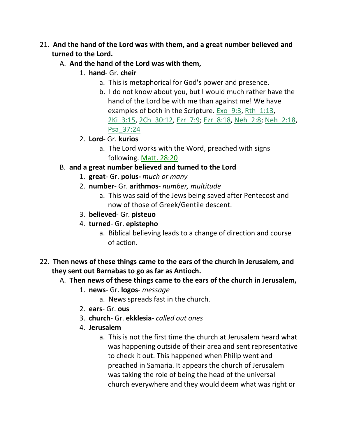- 21. **And the hand of the Lord was with them, and a great number believed and turned to the Lord.** 
	- A. **And the hand of the Lord was with them,**
		- 1. **hand** Gr. **cheir**
			- a. This is metaphorical for God's power and presence.
			- b. I do not know about you, but I would much rather have the hand of the Lord be with me than against me! We have examples of both in the Scripture. Exo\_9:3, Rth\_1:13, 2Ki\_3:15, 2Ch\_30:12, Ezr\_7:9; Ezr\_8:18, Neh\_2:8; Neh\_2:18, Psa\_37:24
		- 2. **Lord** Gr. **kurios**
			- a. The Lord works with the Word, preached with signs following. Matt. 28:20
	- B. **and a great number believed and turned to the Lord**
		- 1. **great** Gr. **polus-** *much or many*
		- 2. **number** Gr. **arithmos** *number, multitude*
			- a. This was said of the Jews being saved after Pentecost and now of those of Greek/Gentile descent.
		- 3. **believed** Gr. **pisteuo**
		- 4. **turned** Gr. **epistepho**
			- a. Biblical believing leads to a change of direction and course of action.
- 22. **Then news of these things came to the ears of the church in Jerusalem, and they sent out Barnabas to go as far as Antioch.** 
	- A. **Then news of these things came to the ears of the church in Jerusalem,**
		- 1. **news** Gr. **logos** *message*
			- a. News spreads fast in the church.
		- 2. **ears** Gr. **ous**
		- 3. **church** Gr. **ekklesia** *called out ones*
		- 4. **Jerusalem**
			- a. This is not the first time the church at Jerusalem heard what was happening outside of their area and sent representative to check it out. This happened when Philip went and preached in Samaria. It appears the church of Jerusalem was taking the role of being the head of the universal church everywhere and they would deem what was right or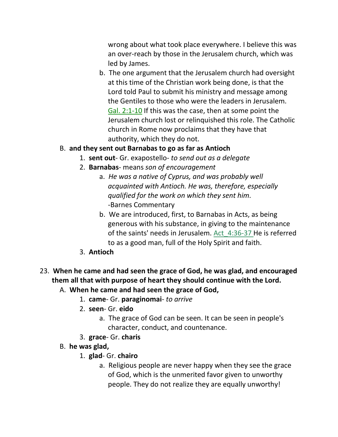wrong about what took place everywhere. I believe this was an over-reach by those in the Jerusalem church, which was led by James.

b. The one argument that the Jerusalem church had oversight at this time of the Christian work being done, is that the Lord told Paul to submit his ministry and message among the Gentiles to those who were the leaders in Jerusalem. Gal. 2:1-10 If this was the case, then at some point the Jerusalem church lost or relinquished this role. The Catholic church in Rome now proclaims that they have that authority, which they do not.

#### B. **and they sent out Barnabas to go as far as Antioch**

- 1. **sent out** Gr. exapostello- *to send out as a delegate*
- 2. **Barnabas** means *son of encouragement*
	- a. *He was a native of Cyprus, and was probably well acquainted with Antioch. He was, therefore, especially qualified for the work on which they sent him.* -Barnes Commentary
	- b. We are introduced, first, to Barnabas in Acts, as being generous with his substance, in giving to the maintenance of the saints' needs in Jerusalem. Act\_4:36-37 He is referred to as a good man, full of the Holy Spirit and faith.
- 3. **Antioch**
- 23. **When he came and had seen the grace of God, he was glad, and encouraged them all that with purpose of heart they should continue with the Lord.** 
	- A. **When he came and had seen the grace of God,**
		- 1. **came** Gr. **paraginomai** *to arrive*
		- 2. **seen** Gr. **eido**
			- a. The grace of God can be seen. It can be seen in people's character, conduct, and countenance.
		- 3. **grace** Gr. **charis**
	- B. **he was glad,**
		- 1. **glad** Gr. **chairo**
			- a. Religious people are never happy when they see the grace of God, which is the unmerited favor given to unworthy people. They do not realize they are equally unworthy!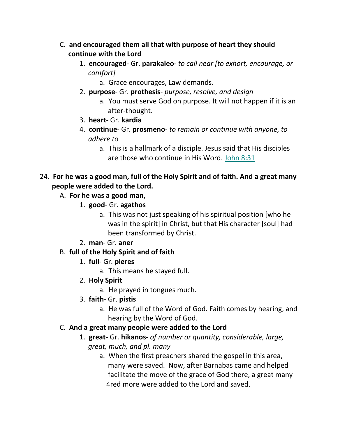- C. **and encouraged them all that with purpose of heart they should continue with the Lord**
	- 1. **encouraged** Gr. **parakaleo** *to call near [to exhort, encourage, or* *comfort]*
		- a. Grace encourages, Law demands.
	- 2. **purpose** Gr. **prothesis** *purpose, resolve, and design*
		- a. You must serve God on purpose. It will not happen if it is an after-thought.
	- 3. **heart** Gr. **kardia**
	- 4. **continue** Gr. **prosmeno** *to remain or continue with anyone, to adhere to* 
		- a. This is a hallmark of a disciple. Jesus said that His disciples are those who continue in His Word. John 8:31

## 24. **For he was a good man, full of the Holy Spirit and of faith. And a great many people were added to the Lord.**

- A. **For he was a good man,**
	- 1. **good** Gr. **agathos**
		- a. This was not just speaking of his spiritual position [who he was in the spirit] in Christ, but that His character [soul] had been transformed by Christ.
	- 2. **man** Gr. **aner**

## B. **full of the Holy Spirit and of faith**

- 1. **full** Gr. **pleres**
	- a. This means he stayed full.
- 2. **Holy Spirit**
	- a. He prayed in tongues much.
- 3. **faith** Gr. **pistis**
	- a. He was full of the Word of God. Faith comes by hearing, and hearing by the Word of God.

## C. **And a great many people were added to the Lord**

- 1. **great** Gr. **hikanos** *of number or quantity, considerable, large, great, much, and pl. many*
	- a. When the first preachers shared the gospel in this area, many were saved. Now, after Barnabas came and helped facilitate the move of the grace of God there, a great many 4red more were added to the Lord and saved.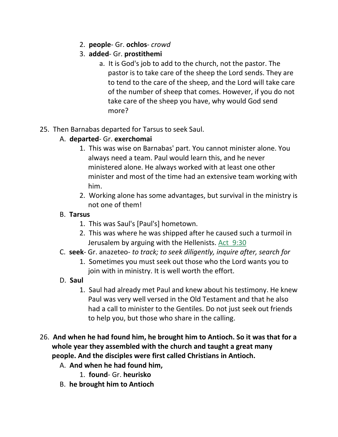- 2. **people** Gr. **ochlos** *crowd*
- 3. **added** Gr. **prostithemi**
	- a. It is God's job to add to the church, not the pastor. The pastor is to take care of the sheep the Lord sends. They are to tend to the care of the sheep, and the Lord will take care of the number of sheep that comes. However, if you do not take care of the sheep you have, why would God send more?
- 25. Then Barnabas departed for Tarsus to seek Saul.
	- A. **departed** Gr. **exerchomai**
		- 1. This was wise on Barnabas' part. You cannot minister alone. You always need a team. Paul would learn this, and he never ministered alone. He always worked with at least one other minister and most of the time had an extensive team working with him.
		- 2. Working alone has some advantages, but survival in the ministry is not one of them!

# B. **Tarsus**

- 1. This was Saul's [Paul's] hometown.
- 2. This was where he was shipped after he caused such a turmoil in Jerusalem by arguing with the Hellenists. Act\_9:30
- C. **seek** Gr. anazeteo- *to track; to seek diligently, inquire after, search for*
	- 1. Sometimes you must seek out those who the Lord wants you to join with in ministry. It is well worth the effort.
- D. **Saul**
	- 1. Saul had already met Paul and knew about his testimony. He knew Paul was very well versed in the Old Testament and that he also had a call to minister to the Gentiles. Do not just seek out friends to help you, but those who share in the calling.
- 26. **And when he had found him, he brought him to Antioch. So it was that for a whole year they assembled with the church and taught a great many people. And the disciples were first called Christians in Antioch.** 
	- A. **And when he had found him,**
		- 1. **found** Gr. **heurisko**
	- B. **he brought him to Antioch**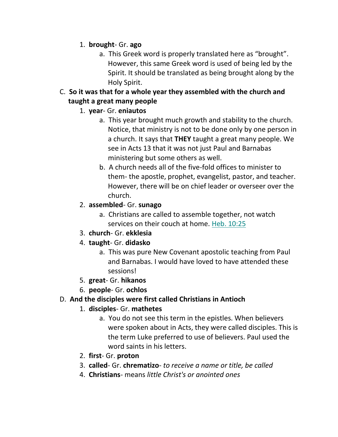## 1. **brought**- Gr. **ago**

- a. This Greek word is properly translated here as "brought". However, this same Greek word is used of being led by the Spirit. It should be translated as being brought along by the Holy Spirit.
- C. **So it was that for a whole year they assembled with the church and taught a great many people**

## 1. **year**- Gr. **eniautos**

- a. This year brought much growth and stability to the church. Notice, that ministry is not to be done only by one person in a church. It says that **THEY** taught a great many people. We see in Acts 13 that it was not just Paul and Barnabas ministering but some others as well.
- b. A church needs all of the five-fold offices to minister to them- the apostle, prophet, evangelist, pastor, and teacher. However, there will be on chief leader or overseer over the church.
- 2. **assembled** Gr. **sunago**
	- a. Christians are called to assemble together, not watch services on their couch at home. Heb. 10:25
- 3. **church** Gr. **ekklesia**
- 4. **taught** Gr. **didasko**
	- a. This was pure New Covenant apostolic teaching from Paul and Barnabas. I would have loved to have attended these sessions!
- 5. **great** Gr. **hikanos**
- 6. **people** Gr. **ochlos**
- D. **And the disciples were first called Christians in Antioch**
	- 1. **disciples** Gr. **mathetes**
		- a. You do not see this term in the epistles. When believers were spoken about in Acts, they were called disciples. This is the term Luke preferred to use of believers. Paul used the word saints in his letters.
	- 2. **first** Gr. **proton**
	- 3. **called** Gr. **chrematizo** *to receive a name or title, be called*
	- 4. **Christians** means *little Christ's or anointed ones*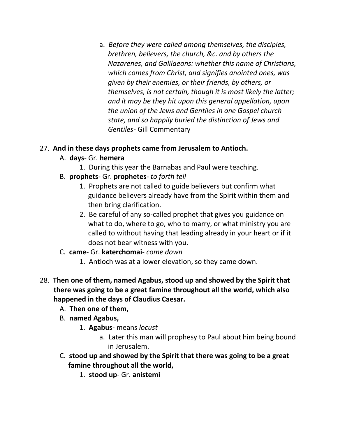a. *Before they were called among themselves, the disciples, brethren, believers, the church, &c. and by others the Nazarenes, and Galilaeans: whether this name of Christians, which comes from Christ, and signifies anointed ones, was given by their enemies, or their friends, by others, or themselves, is not certain, though it is most likely the latter; and it may be they hit upon this general appellation, upon the union of the Jews and Gentiles in one Gospel church state, and so happily buried the distinction of Jews and Gentiles*- Gill Commentary

### 27. **And in these days prophets came from Jerusalem to Antioch.**

- A. **days** Gr. **hemera**
	- 1. During this year the Barnabas and Paul were teaching.
- B. **prophets** Gr. **prophetes** *to forth tell*
	- 1. Prophets are not called to guide believers but confirm what guidance believers already have from the Spirit within them and then bring clarification.
	- 2. Be careful of any so-called prophet that gives you guidance on what to do, where to go, who to marry, or what ministry you are called to without having that leading already in your heart or if it does not bear witness with you.
- C. **came** Gr. **katerchomai** *come down*
	- 1. Antioch was at a lower elevation, so they came down.
- 28. **Then one of them, named Agabus, stood up and showed by the Spirit that there was going to be a great famine throughout all the world, which also happened in the days of Claudius Caesar.** 
	- A. **Then one of them,**
	- B. **named Agabus,**
		- 1. **Agabus** means *locust*
			- a. Later this man will prophesy to Paul about him being bound in Jerusalem.
	- C. **stood up and showed by the Spirit that there was going to be a great famine throughout all the world,**
		- 1. **stood up** Gr. **anistemi**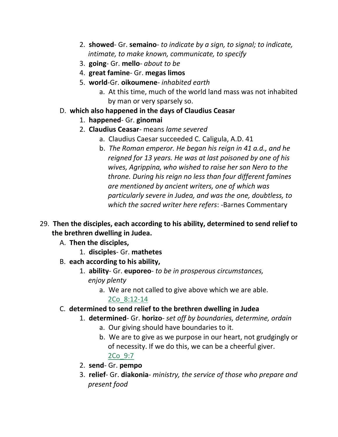- 2. **showed** Gr. **semaino** *to indicate by a sign, to signal; to indicate, intimate, to make known, communicate, to specify*
- 3. **going** Gr. **mello** *about to be*
- 4. **great famine** Gr. **megas limos**
- 5. **world**-Gr. **oikoumene** *inhabited earth*
	- a. At this time, much of the world land mass was not inhabited by man or very sparsely so.
- D. **which also happened in the days of Claudius Ceasar**
	- 1. **happened** Gr. **ginomai**
	- 2. **Claudius Ceasar** means *lame severed*
		- a. Claudius Caesar succeeded C. Caligula, A.D. 41
		- b. *The Roman emperor. He began his reign in 41 a.d., and he reigned for 13 years. He was at last poisoned by one of his wives, Agrippina, who wished to raise her son Nero to the throne. During his reign no less than four different famines are mentioned by ancient writers, one of which was particularly severe in Judea, and was the one, doubtless, to which the sacred writer here refers*: -Barnes Commentary
- 29. **Then the disciples, each according to his ability, determined to send relief to the brethren dwelling in Judea.** 
	- A. **Then the disciples,**
		- 1. **disciples** Gr. **mathetes**
	- B. **each according to his ability,**
		- 1. **ability** Gr. **euporeo** *to be in prosperous circumstances, enjoy plenty*
			- a. We are not called to give above which we are able. 2Co\_8:12-14
	- C. **determined to send relief to the brethren dwelling in Judea**
		- 1. **determined** Gr. **horizo** *set off by boundaries, determine, ordain*
			- a. Our giving should have boundaries to it.
			- b. We are to give as we purpose in our heart, not grudgingly or of necessity. If we do this, we can be a cheerful giver. 2Co\_9:7
		- 2. **send** Gr. **pempo**
		- 3. **relief** Gr. **diakonia** *ministry, the service of those who prepare and present food*